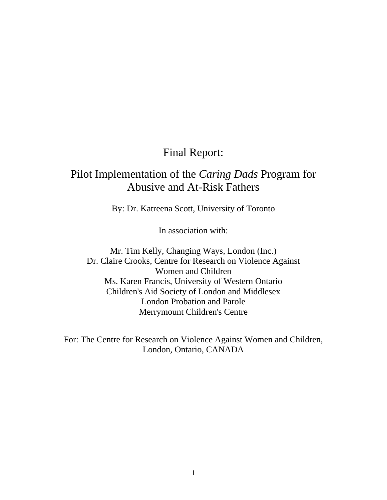## Final Report:

# Pilot Implementation of the *Caring Dads* Program for Abusive and At-Risk Fathers

By: Dr. Katreena Scott, University of Toronto

In association with:

Mr. Tim Kelly, Changing Ways, London (Inc.) Dr. Claire Crooks, Centre for Research on Violence Against Women and Children Ms. Karen Francis, University of Western Ontario Children's Aid Society of London and Middlesex London Probation and Parole Merrymount Children's Centre

For: The Centre for Research on Violence Against Women and Children, London, Ontario, CANADA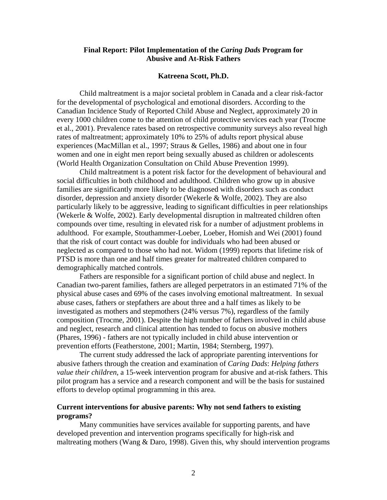## **Final Report: Pilot Implementation of the** *Caring Dads* **Program for Abusive and At-Risk Fathers**

#### **Katreena Scott, Ph.D.**

Child maltreatment is a major societal problem in Canada and a clear risk-factor for the developmental of psychological and emotional disorders. According to the Canadian Incidence Study of Reported Child Abuse and Neglect, approximately 20 in every 1000 children come to the attention of child protective services each year (Trocme et al., 2001). Prevalence rates based on retrospective community surveys also reveal high rates of maltreatment; approximately 10% to 25% of adults report physical abuse experiences (MacMillan et al., 1997; Straus & Gelles, 1986) and about one in four women and one in eight men report being sexually abused as children or adolescents (World Health Organization Consultation on Child Abuse Prevention 1999).

Child maltreatment is a potent risk factor for the development of behavioural and social difficulties in both childhood and adulthood. Children who grow up in abusive families are significantly more likely to be diagnosed with disorders such as conduct disorder, depression and anxiety disorder (Wekerle & Wolfe, 2002). They are also particularly likely to be aggressive, leading to significant difficulties in peer relationships (Wekerle & Wolfe, 2002). Early developmental disruption in maltreated children often compounds over time, resulting in elevated risk for a number of adjustment problems in adulthood. For example, Stouthammer-Loeber, Loeber, Homish and Wei (2001) found that the risk of court contact was double for individuals who had been abused or neglected as compared to those who had not. Widom (1999) reports that lifetime risk of PTSD is more than one and half times greater for maltreated children compared to demographically matched controls.

Fathers are responsible for a significant portion of child abuse and neglect. In Canadian two-parent families, fathers are alleged perpetrators in an estimated 71% of the physical abuse cases and 69% of the cases involving emotional maltreatment. In sexual abuse cases, fathers or stepfathers are about three and a half times as likely to be investigated as mothers and stepmothers (24% versus 7%), regardless of the family composition (Trocme, 2001). Despite the high number of fathers involved in child abuse and neglect, research and clinical attention has tended to focus on abusive mothers (Phares, 1996) - fathers are not typically included in child abuse intervention or prevention efforts (Featherstone, 2001; Martin, 1984; Sternberg, 1997).

The current study addressed the lack of appropriate parenting interventions for abusive fathers through the creation and examination of *Caring Dads*: *Helping fathers value their children,* a 15-week intervention program for abusive and at-risk fathers. This pilot program has a service and a research component and will be the basis for sustained efforts to develop optimal programming in this area.

## **Current interventions for abusive parents: Why not send fathers to existing programs?**

Many communities have services available for supporting parents, and have developed prevention and intervention programs specifically for high-risk and maltreating mothers (Wang & Daro, 1998). Given this, why should intervention programs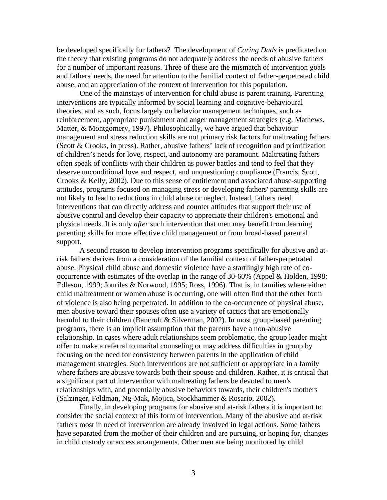be developed specifically for fathers? The development of *Caring Dads* is predicated on the theory that existing programs do not adequately address the needs of abusive fathers for a number of important reasons. Three of these are the mismatch of intervention goals and fathers' needs, the need for attention to the familial context of father-perpetrated child abuse, and an appreciation of the context of intervention for this population.

One of the mainstays of intervention for child abuse is parent training. Parenting interventions are typically informed by social learning and cognitive-behavioural theories, and as such, focus largely on behavior management techniques, such as reinforcement, appropriate punishment and anger management strategies (e.g. Mathews, Matter, & Montgomery, 1997). Philosophically, we have argued that behaviour management and stress reduction skills are not primary risk factors for maltreating fathers (Scott & Crooks, in press). Rather, abusive fathers' lack of recognition and prioritization of children's needs for love, respect, and autonomy are paramount. Maltreating fathers often speak of conflicts with their children as power battles and tend to feel that they deserve unconditional love and respect, and unquestioning compliance (Francis, Scott, Crooks & Kelly, 2002). Due to this sense of entitlement and associated abuse-supporting attitudes, programs focused on managing stress or developing fathers' parenting skills are not likely to lead to reductions in child abuse or neglect. Instead, fathers need interventions that can directly address and counter attitudes that support their use of abusive control and develop their capacity to appreciate their children's emotional and physical needs. It is only *after* such intervention that men may benefit from learning parenting skills for more effective child management or from broad-based parental support.

A second reason to develop intervention programs specifically for abusive and atrisk fathers derives from a consideration of the familial context of father-perpetrated abuse. Physical child abuse and domestic violence have a startlingly high rate of cooccurrence with estimates of the overlap in the range of 30-60% (Appel & Holden, 1998; Edleson, 1999; Jouriles & Norwood, 1995; Ross, 1996). That is, in families where either child maltreatment or women abuse is occurring, one will often find that the other form of violence is also being perpetrated. In addition to the co-occurrence of physical abuse, men abusive toward their spouses often use a variety of tactics that are emotionally harmful to their children (Bancroft & Silverman, 2002). In most group-based parenting programs, there is an implicit assumption that the parents have a non-abusive relationship. In cases where adult relationships seem problematic, the group leader might offer to make a referral to marital counseling or may address difficulties in group by focusing on the need for consistency between parents in the application of child management strategies. Such interventions are not sufficient or appropriate in a family where fathers are abusive towards both their spouse and children. Rather, it is critical that a significant part of intervention with maltreating fathers be devoted to men's relationships with, and potentially abusive behaviors towards, their children's mothers (Salzinger, Feldman, Ng-Mak, Mojica, Stockhammer & Rosario, 2002).

Finally, in developing programs for abusive and at-risk fathers it is important to consider the social context of this form of intervention. Many of the abusive and at-risk fathers most in need of intervention are already involved in legal actions. Some fathers have separated from the mother of their children and are pursuing, or hoping for, changes in child custody or access arrangements. Other men are being monitored by child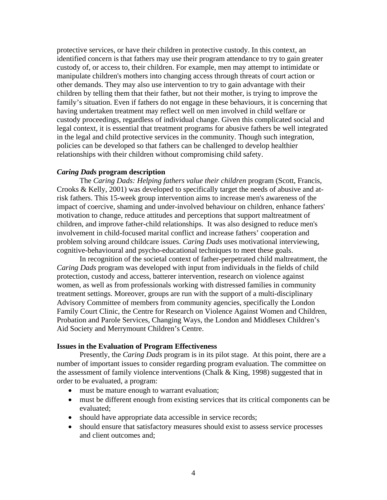protective services, or have their children in protective custody. In this context, an identified concern is that fathers may use their program attendance to try to gain greater custody of, or access to, their children. For example, men may attempt to intimidate or manipulate children's mothers into changing access through threats of court action or other demands. They may also use intervention to try to gain advantage with their children by telling them that their father, but not their mother, is trying to improve the family's situation. Even if fathers do not engage in these behaviours, it is concerning that having undertaken treatment may reflect well on men involved in child welfare or custody proceedings, regardless of individual change. Given this complicated social and legal context, it is essential that treatment programs for abusive fathers be well integrated in the legal and child protective services in the community. Though such integration, policies can be developed so that fathers can be challenged to develop healthier relationships with their children without compromising child safety.

## *Caring Dads* **program description**

The *Caring Dads: Helping fathers value their children* program (Scott, Francis, Crooks & Kelly, 2001) was developed to specifically target the needs of abusive and atrisk fathers. This 15-week group intervention aims to increase men's awareness of the impact of coercive, shaming and under-involved behaviour on children, enhance fathers' motivation to change, reduce attitudes and perceptions that support maltreatment of children, and improve father-child relationships. It was also designed to reduce men's involvement in child-focused marital conflict and increase fathers' cooperation and problem solving around childcare issues. *Caring Dads* uses motivational interviewing, cognitive-behavioural and psycho-educational techniques to meet these goals.

In recognition of the societal context of father-perpetrated child maltreatment, the *Caring Dads* program was developed with input from individuals in the fields of child protection, custody and access, batterer intervention, research on violence against women, as well as from professionals working with distressed families in community treatment settings. Moreover, groups are run with the support of a multi-disciplinary Advisory Committee of members from community agencies, specifically the London Family Court Clinic, the Centre for Research on Violence Against Women and Children, Probation and Parole Services, Changing Ways, the London and Middlesex Children's Aid Society and Merrymount Children's Centre.

#### **Issues in the Evaluation of Program Effectiveness**

 Presently, the *Caring Dads* program is in its pilot stage. At this point, there are a number of important issues to consider regarding program evaluation. The committee on the assessment of family violence interventions (Chalk & King, 1998) suggested that in order to be evaluated, a program:

- must be mature enough to warrant evaluation;
- must be different enough from existing services that its critical components can be evaluated;
- should have appropriate data accessible in service records;
- should ensure that satisfactory measures should exist to assess service processes and client outcomes and;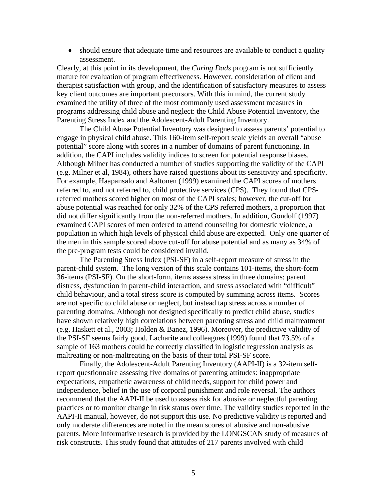• should ensure that adequate time and resources are available to conduct a quality assessment.

Clearly, at this point in its development, the *Caring Dads* program is not sufficiently mature for evaluation of program effectiveness. However, consideration of client and therapist satisfaction with group, and the identification of satisfactory measures to assess key client outcomes are important precursors. With this in mind, the current study examined the utility of three of the most commonly used assessment measures in programs addressing child abuse and neglect: the Child Abuse Potential Inventory, the Parenting Stress Index and the Adolescent-Adult Parenting Inventory.

The Child Abuse Potential Inventory was designed to assess parents' potential to engage in physical child abuse. This 160-item self-report scale yields an overall "abuse potential" score along with scores in a number of domains of parent functioning. In addition, the CAPI includes validity indices to screen for potential response biases. Although Milner has conducted a number of studies supporting the validity of the CAPI (e.g. Milner et al, 1984), others have raised questions about its sensitivity and specificity. For example, Haapansalo and Aaltonen (1999) examined the CAPI scores of mothers referred to, and not referred to, child protective services (CPS). They found that CPSreferred mothers scored higher on most of the CAPI scales; however, the cut-off for abuse potential was reached for only 32% of the CPS referred mothers, a proportion that did not differ significantly from the non-referred mothers. In addition, Gondolf (1997) examined CAPI scores of men ordered to attend counseling for domestic violence, a population in which high levels of physical child abuse are expected. Only one quarter of the men in this sample scored above cut-off for abuse potential and as many as 34% of the pre-program tests could be considered invalid.

The Parenting Stress Index (PSI-SF) in a self-report measure of stress in the parent-child system. The long version of this scale contains 101-items, the short-form 36-items (PSI-SF). On the short-form, items assess stress in three domains; parent distress, dysfunction in parent-child interaction, and stress associated with "difficult" child behaviour, and a total stress score is computed by summing across items. Scores are not specific to child abuse or neglect, but instead tap stress across a number of parenting domains. Although not designed specifically to predict child abuse, studies have shown relatively high correlations between parenting stress and child maltreatment (e.g. Haskett et al., 2003; Holden & Banez, 1996). Moreover, the predictive validity of the PSI-SF seems fairly good. Lacharite and colleagues (1999) found that 73.5% of a sample of 163 mothers could be correctly classified in logistic regression analysis as maltreating or non-maltreating on the basis of their total PSI-SF score.

Finally, the Adolescent-Adult Parenting Inventory (AAPI-II) is a 32-item selfreport questionnaire assessing five domains of parenting attitudes: inappropriate expectations, empathetic awareness of child needs, support for child power and independence, belief in the use of corporal punishment and role reversal. The authors recommend that the AAPI-II be used to assess risk for abusive or neglectful parenting practices or to monitor change in risk status over time. The validity studies reported in the AAPI-II manual, however, do not support this use. No predictive validity is reported and only moderate differences are noted in the mean scores of abusive and non-abusive parents. More informative research is provided by the LONGSCAN study of measures of risk constructs. This study found that attitudes of 217 parents involved with child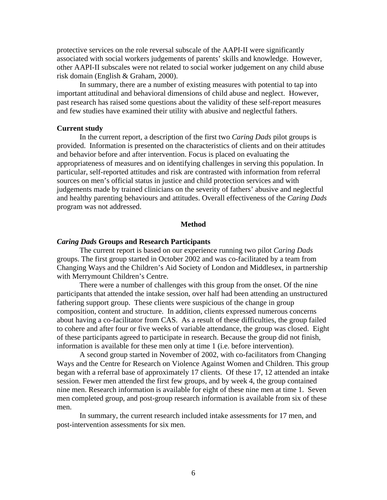protective services on the role reversal subscale of the AAPI-II were significantly associated with social workers judgements of parents' skills and knowledge. However, other AAPI-II subscales were not related to social worker judgement on any child abuse risk domain (English & Graham, 2000).

In summary, there are a number of existing measures with potential to tap into important attitudinal and behavioral dimensions of child abuse and neglect. However, past research has raised some questions about the validity of these self-report measures and few studies have examined their utility with abusive and neglectful fathers.

## **Current study**

In the current report, a description of the first two *Caring Dads* pilot groups is provided. Information is presented on the characteristics of clients and on their attitudes and behavior before and after intervention. Focus is placed on evaluating the appropriateness of measures and on identifying challenges in serving this population. In particular, self-reported attitudes and risk are contrasted with information from referral sources on men's official status in justice and child protection services and with judgements made by trained clinicians on the severity of fathers' abusive and neglectful and healthy parenting behaviours and attitudes. Overall effectiveness of the *Caring Dads* program was not addressed.

#### **Method**

#### *Caring Dads* **Groups and Research Participants**

The current report is based on our experience running two pilot *Caring Dads* groups. The first group started in October 2002 and was co-facilitated by a team from Changing Ways and the Children's Aid Society of London and Middlesex, in partnership with Merrymount Children's Centre.

There were a number of challenges with this group from the onset. Of the nine participants that attended the intake session, over half had been attending an unstructured fathering support group. These clients were suspicious of the change in group composition, content and structure. In addition, clients expressed numerous concerns about having a co-facilitator from CAS. As a result of these difficulties, the group failed to cohere and after four or five weeks of variable attendance, the group was closed. Eight of these participants agreed to participate in research. Because the group did not finish, information is available for these men only at time 1 (i.e. before intervention).

A second group started in November of 2002, with co-facilitators from Changing Ways and the Centre for Research on Violence Against Women and Children. This group began with a referral base of approximately 17 clients. Of these 17, 12 attended an intake session. Fewer men attended the first few groups, and by week 4, the group contained nine men. Research information is available for eight of these nine men at time 1. Seven men completed group, and post-group research information is available from six of these men.

In summary, the current research included intake assessments for 17 men, and post-intervention assessments for six men.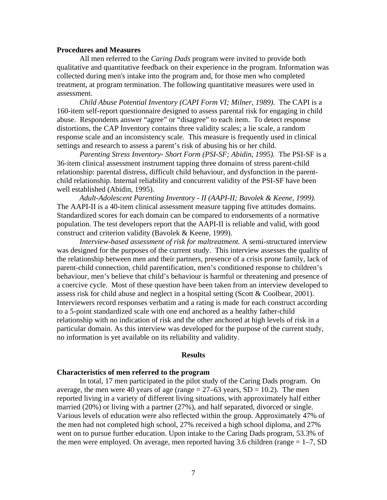#### **Procedures and Measures**

All men referred to the *Caring Dads* program were invited to provide both qualitative and quantitative feedback on their experience in the program. Information was collected during men's intake into the program and, for those men who completed treatment, at program termination. The following quantitative measures were used in assessment.

*Child Abuse Potential Inventory (CAPI Form VI; Milner, 1989).* The CAPI is a 160-item self-report questionnaire designed to assess parental risk for engaging in child abuse. Respondents answer "agree" or "disagree" to each item. To detect response distortions, the CAP Inventory contains three validity scales; a lie scale, a random response scale and an inconsistency scale. This measure is frequently used in clinical settings and research to assess a parent's risk of abusing his or her child.

*Parenting Stress Inventory- Short Form (PSI-SF; Abidin, 1995).* The PSI-SF is a 36-item clinical assessment instrument tapping three domains of stress parent-child relationship: parental distress, difficult child behaviour, and dysfunction in the parentchild relationship. Internal reliability and concurrent validity of the PSI-SF have been well established (Abidin, 1995).

*Adult-Adolescent Parenting Inventory - II (AAPI-II; Bavolek & Keene, 1999).*  The AAPI-II is a 40-item clinical assessment measure tapping five attitudes domains. Standardized scores for each domain can be compared to endorsements of a normative population. The test developers report that the AAPI-II is reliable and valid, with good construct and criterion validity (Bavolek & Keene, 1999).

 *Interview-based assessment of risk for maltreatment.* A semi-structured interview was designed for the purposes of the current study. This interview assesses the quality of the relationship between men and their partners, presence of a crisis prone family, lack of parent-child connection, child parentification, men's conditioned response to children's behaviour, men's believe that child's behaviour is harmful or threatening and presence of a coercive cycle. Most of these question have been taken from an interview developed to assess risk for child abuse and neglect in a hospital setting (Scott & Coolbear, 2001). Interviewers record responses verbatim and a rating is made for each construct according to a 5-point standardized scale with one end anchored as a healthy father-child relationship with no indication of risk and the other anchored at high levels of risk in a particular domain. As this interview was developed for the purpose of the current study, no information is yet available on its reliability and validity.

#### **Results**

#### **Characteristics of men referred to the program**

In total, 17 men participated in the pilot study of the Caring Dads program. On average, the men were 40 years of age (range  $= 27-63$  years, SD  $= 10.2$ ). The men reported living in a variety of different living situations, with approximately half either married (20%) or living with a partner (27%), and half separated, divorced or single. Various levels of education were also reflected within the group. Approximately 47% of the men had not completed high school, 27% received a high school diploma, and 27% went on to pursue further education. Upon intake to the Caring Dads program, 53.3% of the men were employed. On average, men reported having 3.6 children (range  $= 1-7$ , SD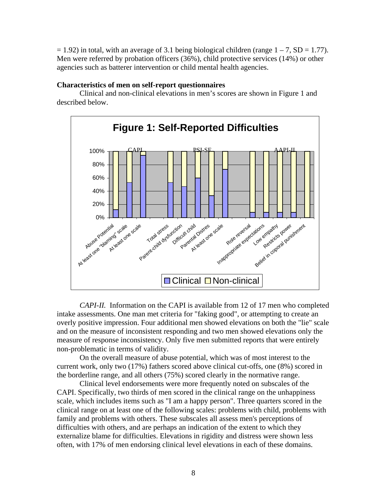$= 1.92$ ) in total, with an average of 3.1 being biological children (range  $1 - 7$ , SD = 1.77). Men were referred by probation officers (36%), child protective services (14%) or other agencies such as batterer intervention or child mental health agencies.

## **Characteristics of men on self-report questionnaires**

Clinical and non-clinical elevations in men's scores are shown in Figure 1 and described below.



 *CAPI-II.* Information on the CAPI is available from 12 of 17 men who completed intake assessments. One man met criteria for "faking good", or attempting to create an overly positive impression. Four additional men showed elevations on both the "lie" scale and on the measure of inconsistent responding and two men showed elevations only the measure of response inconsistency. Only five men submitted reports that were entirely non-problematic in terms of validity.

On the overall measure of abuse potential, which was of most interest to the current work, only two (17%) fathers scored above clinical cut-offs, one (8%) scored in the borderline range, and all others (75%) scored clearly in the normative range.

Clinical level endorsements were more frequently noted on subscales of the CAPI. Specifically, two thirds of men scored in the clinical range on the unhappiness scale, which includes items such as "I am a happy person". Three quarters scored in the clinical range on at least one of the following scales: problems with child, problems with family and problems with others. These subscales all assess men's perceptions of difficulties with others, and are perhaps an indication of the extent to which they externalize blame for difficulties. Elevations in rigidity and distress were shown less often, with 17% of men endorsing clinical level elevations in each of these domains.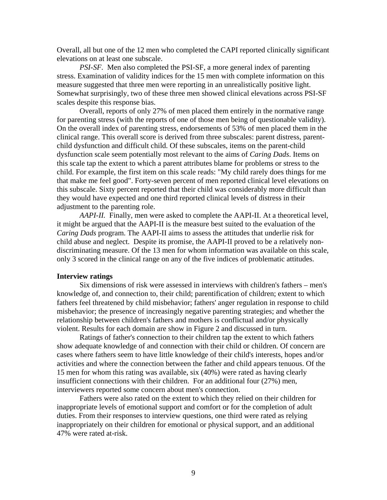Overall, all but one of the 12 men who completed the CAPI reported clinically significant elevations on at least one subscale.

*PSI-SF.* Men also completed the PSI-SF, a more general index of parenting stress. Examination of validity indices for the 15 men with complete information on this measure suggested that three men were reporting in an unrealistically positive light. Somewhat surprisingly, two of these three men showed clinical elevations across PSI-SF scales despite this response bias.

Overall, reports of only 27% of men placed them entirely in the normative range for parenting stress (with the reports of one of those men being of questionable validity). On the overall index of parenting stress, endorsements of 53% of men placed them in the clinical range. This overall score is derived from three subscales: parent distress, parentchild dysfunction and difficult child. Of these subscales, items on the parent-child dysfunction scale seem potentially most relevant to the aims of *Caring Dads*. Items on this scale tap the extent to which a parent attributes blame for problems or stress to the child. For example, the first item on this scale reads: "My child rarely does things for me that make me feel good". Forty-seven percent of men reported clinical level elevations on this subscale. Sixty percent reported that their child was considerably more difficult than they would have expected and one third reported clinical levels of distress in their adjustment to the parenting role.

*AAPI-II.* Finally, men were asked to complete the AAPI-II. At a theoretical level, it might be argued that the AAPI-II is the measure best suited to the evaluation of the *Caring Dads* program. The AAPI-II aims to assess the attitudes that underlie risk for child abuse and neglect. Despite its promise, the AAPI-II proved to be a relatively nondiscriminating measure. Of the 13 men for whom information was available on this scale, only 3 scored in the clinical range on any of the five indices of problematic attitudes.

#### **Interview ratings**

Six dimensions of risk were assessed in interviews with children's fathers – men's knowledge of, and connection to, their child; parentification of children; extent to which fathers feel threatened by child misbehavior; fathers' anger regulation in response to child misbehavior; the presence of increasingly negative parenting strategies; and whether the relationship between children's fathers and mothers is conflictual and/or physically violent. Results for each domain are show in Figure 2 and discussed in turn.

Ratings of father's connection to their children tap the extent to which fathers show adequate knowledge of and connection with their child or children. Of concern are cases where fathers seem to have little knowledge of their child's interests, hopes and/or activities and where the connection between the father and child appears tenuous. Of the 15 men for whom this rating was available, six (40%) were rated as having clearly insufficient connections with their children. For an additional four (27%) men, interviewers reported some concern about men's connection.

Fathers were also rated on the extent to which they relied on their children for inappropriate levels of emotional support and comfort or for the completion of adult duties. From their responses to interview questions, one third were rated as relying inappropriately on their children for emotional or physical support, and an additional 47% were rated at-risk.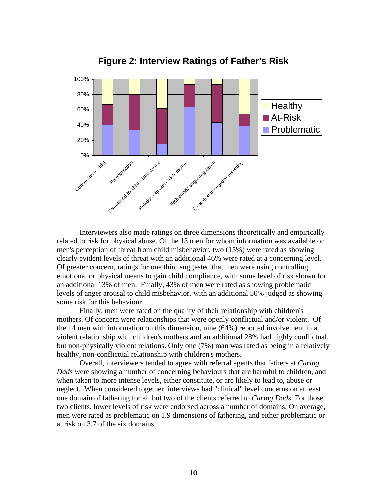

Interviewers also made ratings on three dimensions theoretically and empirically related to risk for physical abuse. Of the 13 men for whom information was available on men's perception of threat from child misbehavior, two (15%) were rated as showing clearly evident levels of threat with an additional 46% were rated at a concerning level. Of greater concern, ratings for one third suggested that men were using controlling emotional or physical means to gain child compliance, with some level of risk shown for an additional 13% of men. Finally, 43% of men were rated as showing problematic levels of anger arousal to child misbehavior, with an additional 50% judged as showing some risk for this behaviour.

Finally, men were rated on the quality of their relationship with children's mothers. Of concern were relationships that were openly conflictual and/or violent. Of the 14 men with information on this dimension, nine (64%) reported involvement in a violent relationship with children's mothers and an additional 28% had highly conflictual, but non-physically violent relations. Only one (7%) man was rated as being in a relatively healthy, non-conflictual relationship with children's mothers.

Overall, interviewers tended to agree with referral agents that fathers at *Caring Dads* were showing a number of concerning behaviours that are harmful to children, and when taken to more intense levels, either constitute, or are likely to lead to, abuse or neglect. When considered together, interviews had "clinical" level concerns on at least one domain of fathering for all but two of the clients referred to *Caring Dads.* For those two clients, lower levels of risk were endorsed across a number of domains. On average, men were rated as problematic on 1.9 dimensions of fathering, and either problematic or at risk on 3.7 of the six domains.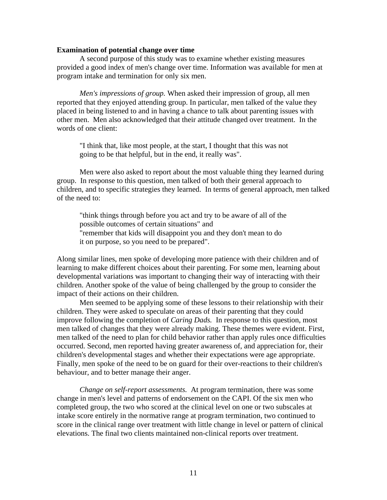#### **Examination of potential change over time**

A second purpose of this study was to examine whether existing measures provided a good index of men's change over time. Information was available for men at program intake and termination for only six men.

*Men's impressions of group.* When asked their impression of group, all men reported that they enjoyed attending group. In particular, men talked of the value they placed in being listened to and in having a chance to talk about parenting issues with other men. Men also acknowledged that their attitude changed over treatment. In the words of one client:

"I think that, like most people, at the start, I thought that this was not going to be that helpful, but in the end, it really was".

Men were also asked to report about the most valuable thing they learned during group. In response to this question, men talked of both their general approach to children, and to specific strategies they learned. In terms of general approach, men talked of the need to:

"think things through before you act and try to be aware of all of the possible outcomes of certain situations" and "remember that kids will disappoint you and they don't mean to do it on purpose, so you need to be prepared".

Along similar lines, men spoke of developing more patience with their children and of learning to make different choices about their parenting. For some men, learning about developmental variations was important to changing their way of interacting with their children. Another spoke of the value of being challenged by the group to consider the impact of their actions on their children.

Men seemed to be applying some of these lessons to their relationship with their children. They were asked to speculate on areas of their parenting that they could improve following the completion of *Caring Dads.* In response to this question, most men talked of changes that they were already making. These themes were evident. First, men talked of the need to plan for child behavior rather than apply rules once difficulties occurred. Second, men reported having greater awareness of, and appreciation for, their children's developmental stages and whether their expectations were age appropriate. Finally, men spoke of the need to be on guard for their over-reactions to their children's behaviour, and to better manage their anger.

*Change on self-report assessments.* At program termination, there was some change in men's level and patterns of endorsement on the CAPI. Of the six men who completed group, the two who scored at the clinical level on one or two subscales at intake score entirely in the normative range at program termination, two continued to score in the clinical range over treatment with little change in level or pattern of clinical elevations. The final two clients maintained non-clinical reports over treatment.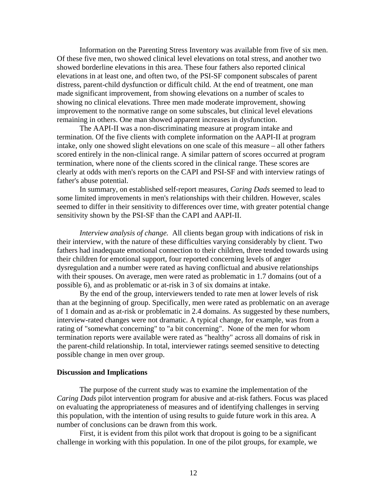Information on the Parenting Stress Inventory was available from five of six men. Of these five men, two showed clinical level elevations on total stress, and another two showed borderline elevations in this area. These four fathers also reported clinical elevations in at least one, and often two, of the PSI-SF component subscales of parent distress, parent-child dysfunction or difficult child. At the end of treatment, one man made significant improvement, from showing elevations on a number of scales to showing no clinical elevations. Three men made moderate improvement, showing improvement to the normative range on some subscales, but clinical level elevations remaining in others. One man showed apparent increases in dysfunction.

The AAPI-II was a non-discriminating measure at program intake and termination. Of the five clients with complete information on the AAPI-II at program intake, only one showed slight elevations on one scale of this measure – all other fathers scored entirely in the non-clinical range. A similar pattern of scores occurred at program termination, where none of the clients scored in the clinical range. These scores are clearly at odds with men's reports on the CAPI and PSI-SF and with interview ratings of father's abuse potential.

In summary, on established self-report measures, *Caring Dads* seemed to lead to some limited improvements in men's relationships with their children. However, scales seemed to differ in their sensitivity to differences over time, with greater potential change sensitivity shown by the PSI-SF than the CAPI and AAPI-II.

*Interview analysis of change.* All clients began group with indications of risk in their interview, with the nature of these difficulties varying considerably by client. Two fathers had inadequate emotional connection to their children, three tended towards using their children for emotional support, four reported concerning levels of anger dysregulation and a number were rated as having conflictual and abusive relationships with their spouses. On average, men were rated as problematic in 1.7 domains (out of a possible 6), and as problematic or at-risk in 3 of six domains at intake.

By the end of the group, interviewers tended to rate men at lower levels of risk than at the beginning of group. Specifically, men were rated as problematic on an average of 1 domain and as at-risk or problematic in 2.4 domains. As suggested by these numbers, interview-rated changes were not dramatic. A typical change, for example, was from a rating of "somewhat concerning" to "a bit concerning". None of the men for whom termination reports were available were rated as "healthy" across all domains of risk in the parent-child relationship. In total, interviewer ratings seemed sensitive to detecting possible change in men over group.

#### **Discussion and Implications**

The purpose of the current study was to examine the implementation of the *Caring Dads* pilot intervention program for abusive and at-risk fathers. Focus was placed on evaluating the appropriateness of measures and of identifying challenges in serving this population, with the intention of using results to guide future work in this area. A number of conclusions can be drawn from this work.

First, it is evident from this pilot work that dropout is going to be a significant challenge in working with this population. In one of the pilot groups, for example, we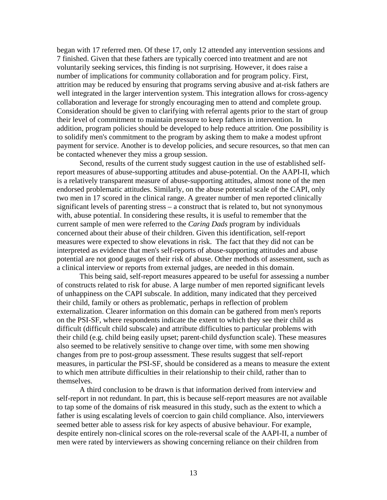began with 17 referred men. Of these 17, only 12 attended any intervention sessions and 7 finished. Given that these fathers are typically coerced into treatment and are not voluntarily seeking services, this finding is not surprising. However, it does raise a number of implications for community collaboration and for program policy. First, attrition may be reduced by ensuring that programs serving abusive and at-risk fathers are well integrated in the larger intervention system. This integration allows for cross-agency collaboration and leverage for strongly encouraging men to attend and complete group. Consideration should be given to clarifying with referral agents prior to the start of group their level of commitment to maintain pressure to keep fathers in intervention. In addition, program policies should be developed to help reduce attrition. One possibility is to solidify men's commitment to the program by asking them to make a modest upfront payment for service. Another is to develop policies, and secure resources, so that men can be contacted whenever they miss a group session.

Second, results of the current study suggest caution in the use of established selfreport measures of abuse-supporting attitudes and abuse-potential. On the AAPI-II, which is a relatively transparent measure of abuse-supporting attitudes, almost none of the men endorsed problematic attitudes. Similarly, on the abuse potential scale of the CAPI, only two men in 17 scored in the clinical range. A greater number of men reported clinically significant levels of parenting stress – a construct that is related to, but not synonymous with, abuse potential. In considering these results, it is useful to remember that the current sample of men were referred to the *Caring Dads* program by individuals concerned about their abuse of their children. Given this identification, self-report measures were expected to show elevations in risk. The fact that they did not can be interpreted as evidence that men's self-reports of abuse-supporting attitudes and abuse potential are not good gauges of their risk of abuse. Other methods of assessment, such as a clinical interview or reports from external judges, are needed in this domain.

This being said, self-report measures appeared to be useful for assessing a number of constructs related to risk for abuse. A large number of men reported significant levels of unhappiness on the CAPI subscale. In addition, many indicated that they perceived their child, family or others as problematic, perhaps in reflection of problem externalization. Clearer information on this domain can be gathered from men's reports on the PSI-SF, where respondents indicate the extent to which they see their child as difficult (difficult child subscale) and attribute difficulties to particular problems with their child (e.g. child being easily upset; parent-child dysfunction scale). These measures also seemed to be relatively sensitive to change over time, with some men showing changes from pre to post-group assessment. These results suggest that self-report measures, in particular the PSI-SF, should be considered as a means to measure the extent to which men attribute difficulties in their relationship to their child, rather than to themselves.

A third conclusion to be drawn is that information derived from interview and self-report in not redundant. In part, this is because self-report measures are not available to tap some of the domains of risk measured in this study, such as the extent to which a father is using escalating levels of coercion to gain child compliance. Also, interviewers seemed better able to assess risk for key aspects of abusive behaviour. For example, despite entirely non-clinical scores on the role-reversal scale of the AAPI-II, a number of men were rated by interviewers as showing concerning reliance on their children from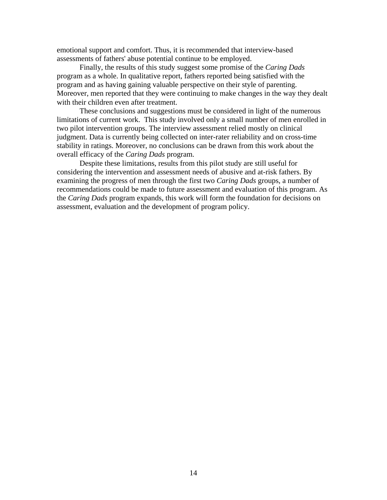emotional support and comfort. Thus, it is recommended that interview-based assessments of fathers' abuse potential continue to be employed.

Finally, the results of this study suggest some promise of the *Caring Dads* program as a whole. In qualitative report, fathers reported being satisfied with the program and as having gaining valuable perspective on their style of parenting. Moreover, men reported that they were continuing to make changes in the way they dealt with their children even after treatment.

These conclusions and suggestions must be considered in light of the numerous limitations of current work. This study involved only a small number of men enrolled in two pilot intervention groups. The interview assessment relied mostly on clinical judgment. Data is currently being collected on inter-rater reliability and on cross-time stability in ratings. Moreover, no conclusions can be drawn from this work about the overall efficacy of the *Caring Dads* program.

Despite these limitations, results from this pilot study are still useful for considering the intervention and assessment needs of abusive and at-risk fathers. By examining the progress of men through the first two *Caring Dads* groups, a number of recommendations could be made to future assessment and evaluation of this program. As the *Caring Dads* program expands, this work will form the foundation for decisions on assessment, evaluation and the development of program policy.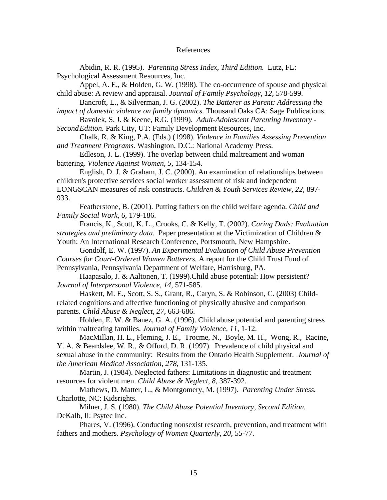#### References

Abidin, R. R. (1995). *Parenting Stress Index, Third Edition.* Lutz, FL: Psychological Assessment Resources, Inc.

Appel, A. E., & Holden, G. W. (1998). The co-occurrence of spouse and physical child abuse: A review and appraisal. *Journal of Family Psychology, 12,* 578-599.

Bancroft, L., & Silverman, J. G. (2002). *The Batterer as Parent: Addressing the* 

*impact of domestic violence on family dynamics.* Thousand Oaks CA: Sage Publications. Bavolek, S. J. & Keene, R.G. (1999). *Adult-Adolescent Parenting Inventory -* 

*Second Edition.* Park City, UT: Family Development Resources, Inc.

Chalk, R. & King, P.A. (Eds.) (1998). *Violence in Families Assessing Prevention and Treatment Programs.* Washington, D.C.: National Academy Press.

Edleson, J. L. (1999). The overlap between child maltreament and woman battering. *Violence Against Women, 5,* 134-154.

English, D. J. & Graham, J. C. (2000). An examination of relationships between children's protective services social worker assessment of risk and independent LONGSCAN measures of risk constructs. *Children & Youth Services Review, 22,* 897- 933.

Featherstone, B. (2001). Putting fathers on the child welfare agenda. *Child and Family Social Work, 6,* 179-186.

Francis, K., Scott, K. L., Crooks, C. & Kelly, T. (2002). *Caring Dads: Evaluation strategies and preliminary data.* Paper presentation at the Victimization of Children & Youth: An International Research Conference, Portsmouth, New Hampshire.

Gondolf, E. W. (1997). *An Experimental Evaluation of Child Abuse Prevention Courses for Court-Ordered Women Batterers.* A report for the Child Trust Fund of Pennsylvania, Pennsylvania Department of Welfare, Harrisburg, PA.

Haapasalo, J. & Aaltonen, T. (1999).Child abuse potential: How persistent? *Journal of Interpersonal Violence, 14,* 571-585.

Haskett, M. E., Scott, S. S., Grant, R., Caryn, S. & Robinson, C. (2003) Childrelated cognitions and affective functioning of physically abusive and comparison parents. *Child Abuse & Neglect, 27,* 663-686.

Holden, E. W. & Banez, G. A. (1996). Child abuse potential and parenting stress within maltreating families. *Journal of Family Violence, 11,* 1-12.

MacMillan, H. L., Fleming, J. E., Trocme, N., Boyle, M. H., Wong, R., Racine, Y. A. & Beardslee, W. R., & Offord, D. R. (1997). Prevalence of child physical and sexual abuse in the community: Results from the Ontario Health Supplement. *Journal of the American Medical Association, 278,* 131-135.

Martin, J. (1984). Neglected fathers: Limitations in diagnostic and treatment resources for violent men. *Child Abuse & Neglect, 8,* 387-392.

Mathews, D. Matter, L., & Montgomery, M. (1997). *Parenting Under Stress.*  Charlotte, NC: Kidsrights.

Milner, J. S. (1980). *The Child Abuse Potential Inventory, Second Edition.*  DeKalb, Il: Psytec Inc.

Phares, V. (1996). Conducting nonsexist research, prevention, and treatment with fathers and mothers. *Psychology of Women Quarterly, 20,* 55-77.